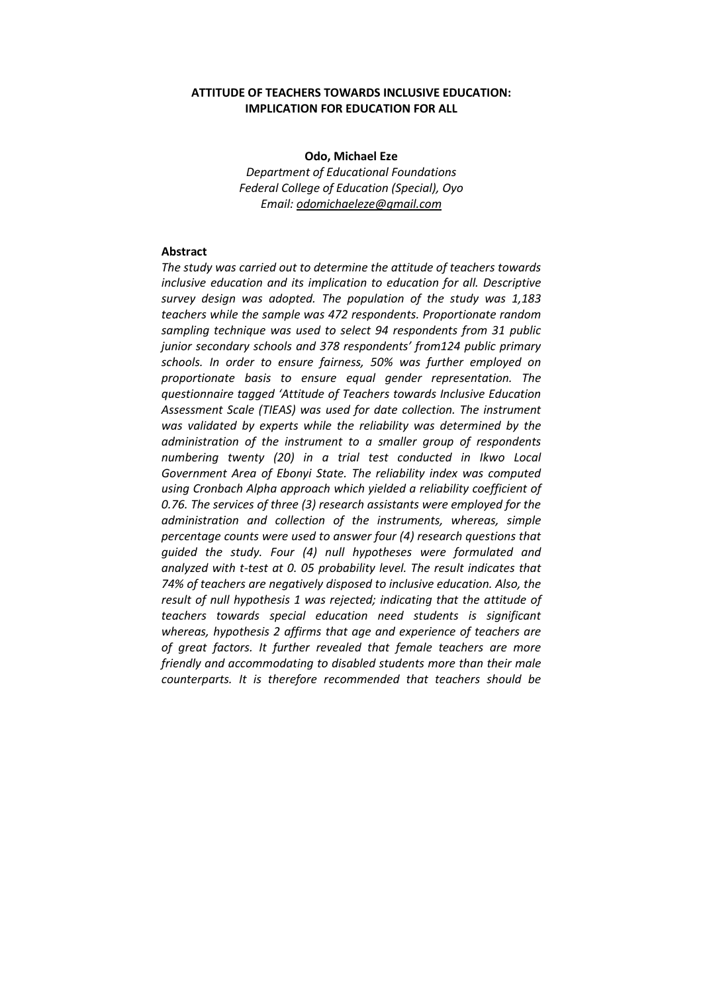# **ATTITUDE OF TEACHERS TOWARDS INCLUSIVE EDUCATION: IMPLICATION FOR EDUCATION FOR ALL**

**Odo, Michael Eze** *Department of Educational Foundations Federal College of Education (Special), Oyo Email: odomichaeleze@gmail.com*

### **Abstract**

*The study was carried out to determine the attitude of teachers towards inclusive education and its implication to education for all. Descriptive survey design was adopted. The population of the study was 1,183 teachers while the sample was 472 respondents. Proportionate random sampling technique was used to select 94 respondents from 31 public junior secondary schools and 378 respondents' from124 public primary schools. In order to ensure fairness, 50% was further employed on proportionate basis to ensure equal gender representation. The questionnaire tagged 'Attitude of Teachers towards Inclusive Education Assessment Scale (TIEAS) was used for date collection. The instrument was validated by experts while the reliability was determined by the administration of the instrument to a smaller group of respondents numbering twenty (20) in a trial test conducted in Ikwo Local Government Area of Ebonyi State. The reliability index was computed using Cronbach Alpha approach which yielded a reliability coefficient of 0.76. The services of three (3) research assistants were employed for the administration and collection of the instruments, whereas, simple percentage counts were used to answer four (4) research questions that guided the study. Four (4) null hypotheses were formulated and analyzed with t-test at 0. 05 probability level. The result indicates that 74% of teachers are negatively disposed to inclusive education. Also, the result of null hypothesis 1 was rejected; indicating that the attitude of teachers towards special education need students is significant whereas, hypothesis 2 affirms that age and experience of teachers are of great factors. It further revealed that female teachers are more friendly and accommodating to disabled students more than their male counterparts. It is therefore recommended that teachers should be*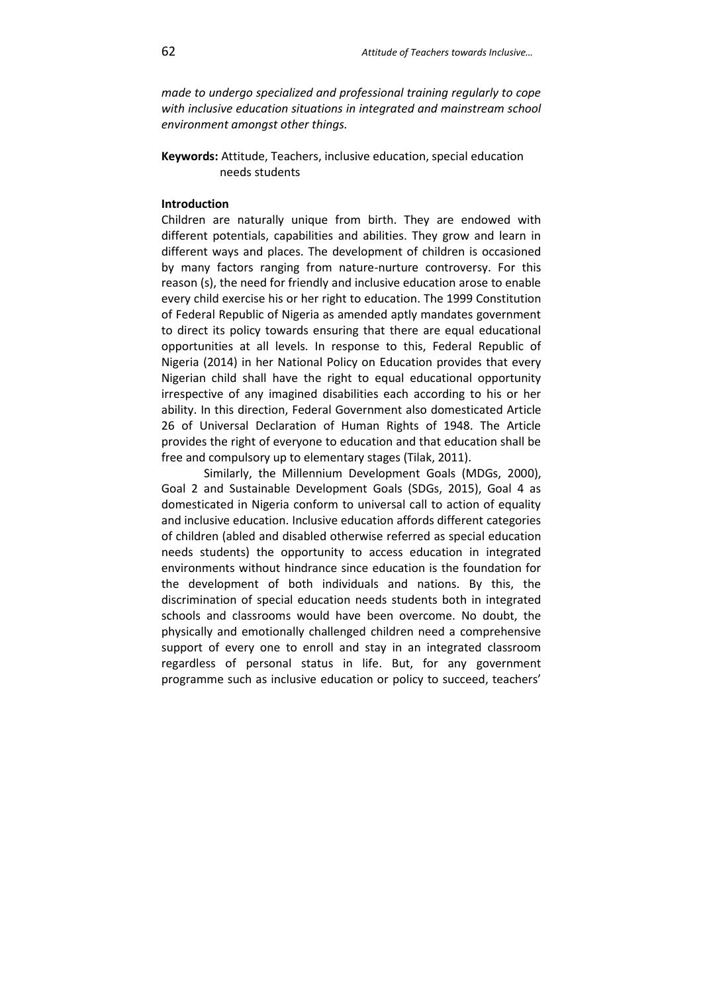*made to undergo specialized and professional training regularly to cope with inclusive education situations in integrated and mainstream school environment amongst other things.* 

**Keywords:** Attitude, Teachers, inclusive education, special education needs students

# **Introduction**

Children are naturally unique from birth. They are endowed with different potentials, capabilities and abilities. They grow and learn in different ways and places. The development of children is occasioned by many factors ranging from nature-nurture controversy. For this reason (s), the need for friendly and inclusive education arose to enable every child exercise his or her right to education. The 1999 Constitution of Federal Republic of Nigeria as amended aptly mandates government to direct its policy towards ensuring that there are equal educational opportunities at all levels. In response to this, Federal Republic of Nigeria (2014) in her National Policy on Education provides that every Nigerian child shall have the right to equal educational opportunity irrespective of any imagined disabilities each according to his or her ability. In this direction, Federal Government also domesticated Article 26 of Universal Declaration of Human Rights of 1948. The Article provides the right of everyone to education and that education shall be free and compulsory up to elementary stages (Tilak, 2011).

Similarly, the Millennium Development Goals (MDGs, 2000), Goal 2 and Sustainable Development Goals (SDGs, 2015), Goal 4 as domesticated in Nigeria conform to universal call to action of equality and inclusive education. Inclusive education affords different categories of children (abled and disabled otherwise referred as special education needs students) the opportunity to access education in integrated environments without hindrance since education is the foundation for the development of both individuals and nations. By this, the discrimination of special education needs students both in integrated schools and classrooms would have been overcome. No doubt, the physically and emotionally challenged children need a comprehensive support of every one to enroll and stay in an integrated classroom regardless of personal status in life. But, for any government programme such as inclusive education or policy to succeed, teachers'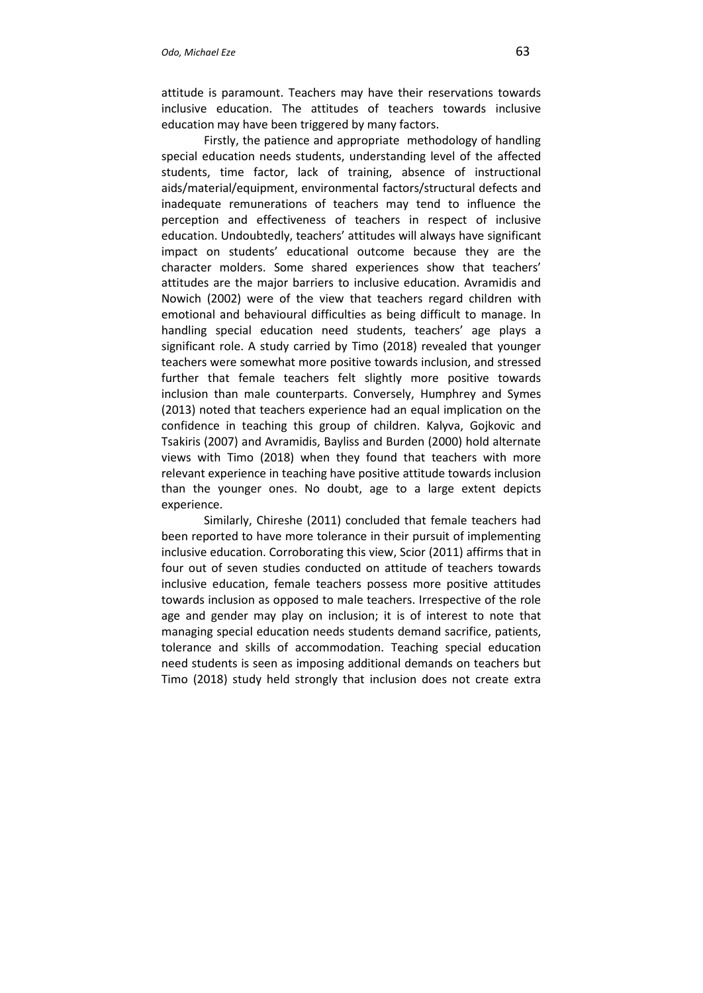attitude is paramount. Teachers may have their reservations towards inclusive education. The attitudes of teachers towards inclusive education may have been triggered by many factors.

Firstly, the patience and appropriate methodology of handling special education needs students, understanding level of the affected students, time factor, lack of training, absence of instructional aids/material/equipment, environmental factors/structural defects and inadequate remunerations of teachers may tend to influence the perception and effectiveness of teachers in respect of inclusive education. Undoubtedly, teachers' attitudes will always have significant impact on students' educational outcome because they are the character molders. Some shared experiences show that teachers' attitudes are the major barriers to inclusive education. Avramidis and Nowich (2002) were of the view that teachers regard children with emotional and behavioural difficulties as being difficult to manage. In handling special education need students, teachers' age plays a significant role. A study carried by Timo (2018) revealed that younger teachers were somewhat more positive towards inclusion, and stressed further that female teachers felt slightly more positive towards inclusion than male counterparts. Conversely, Humphrey and Symes (2013) noted that teachers experience had an equal implication on the confidence in teaching this group of children. Kalyva, Gojkovic and Tsakiris (2007) and Avramidis, Bayliss and Burden (2000) hold alternate views with Timo (2018) when they found that teachers with more relevant experience in teaching have positive attitude towards inclusion than the younger ones. No doubt, age to a large extent depicts experience.

Similarly, Chireshe (2011) concluded that female teachers had been reported to have more tolerance in their pursuit of implementing inclusive education. Corroborating this view, Scior (2011) affirms that in four out of seven studies conducted on attitude of teachers towards inclusive education, female teachers possess more positive attitudes towards inclusion as opposed to male teachers. Irrespective of the role age and gender may play on inclusion; it is of interest to note that managing special education needs students demand sacrifice, patients, tolerance and skills of accommodation. Teaching special education need students is seen as imposing additional demands on teachers but Timo (2018) study held strongly that inclusion does not create extra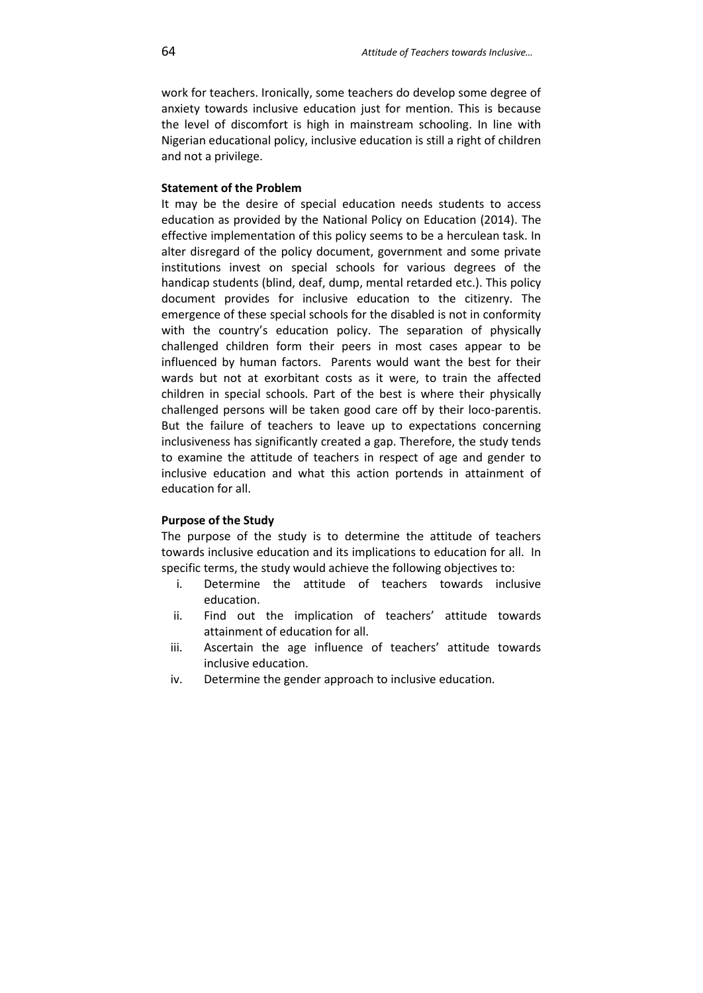work for teachers. Ironically, some teachers do develop some degree of anxiety towards inclusive education just for mention. This is because the level of discomfort is high in mainstream schooling. In line with Nigerian educational policy, inclusive education is still a right of children and not a privilege.

### **Statement of the Problem**

It may be the desire of special education needs students to access education as provided by the National Policy on Education (2014). The effective implementation of this policy seems to be a herculean task. In alter disregard of the policy document, government and some private institutions invest on special schools for various degrees of the handicap students (blind, deaf, dump, mental retarded etc.). This policy document provides for inclusive education to the citizenry. The emergence of these special schools for the disabled is not in conformity with the country's education policy. The separation of physically challenged children form their peers in most cases appear to be influenced by human factors. Parents would want the best for their wards but not at exorbitant costs as it were, to train the affected children in special schools. Part of the best is where their physically challenged persons will be taken good care off by their loco-parentis. But the failure of teachers to leave up to expectations concerning inclusiveness has significantly created a gap. Therefore, the study tends to examine the attitude of teachers in respect of age and gender to inclusive education and what this action portends in attainment of education for all.

## **Purpose of the Study**

The purpose of the study is to determine the attitude of teachers towards inclusive education and its implications to education for all. In specific terms, the study would achieve the following objectives to:

- i. Determine the attitude of teachers towards inclusive education.
- ii. Find out the implication of teachers' attitude towards attainment of education for all.
- iii. Ascertain the age influence of teachers' attitude towards inclusive education.
- iv. Determine the gender approach to inclusive education.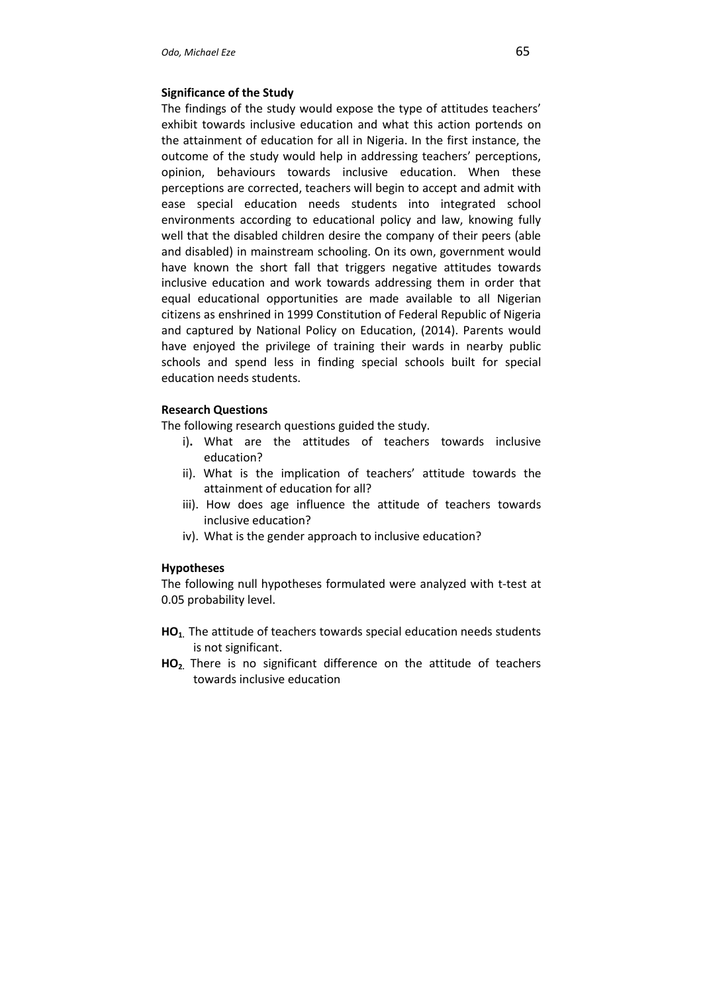#### **Significance of the Study**

The findings of the study would expose the type of attitudes teachers' exhibit towards inclusive education and what this action portends on the attainment of education for all in Nigeria. In the first instance, the outcome of the study would help in addressing teachers' perceptions, opinion, behaviours towards inclusive education. When these perceptions are corrected, teachers will begin to accept and admit with ease special education needs students into integrated school environments according to educational policy and law, knowing fully well that the disabled children desire the company of their peers (able and disabled) in mainstream schooling. On its own, government would have known the short fall that triggers negative attitudes towards inclusive education and work towards addressing them in order that equal educational opportunities are made available to all Nigerian citizens as enshrined in 1999 Constitution of Federal Republic of Nigeria and captured by National Policy on Education, (2014). Parents would have enjoyed the privilege of training their wards in nearby public schools and spend less in finding special schools built for special education needs students.

## **Research Questions**

The following research questions guided the study.

- i)**.** What are the attitudes of teachers towards inclusive education?
- ii). What is the implication of teachers' attitude towards the attainment of education for all?
- iii). How does age influence the attitude of teachers towards inclusive education?
- iv). What is the gender approach to inclusive education?

### **Hypotheses**

The following null hypotheses formulated were analyzed with t-test at 0.05 probability level.

- **HO1.** The attitude of teachers towards special education needs students is not significant.
- **HO2.** There is no significant difference on the attitude of teachers towards inclusive education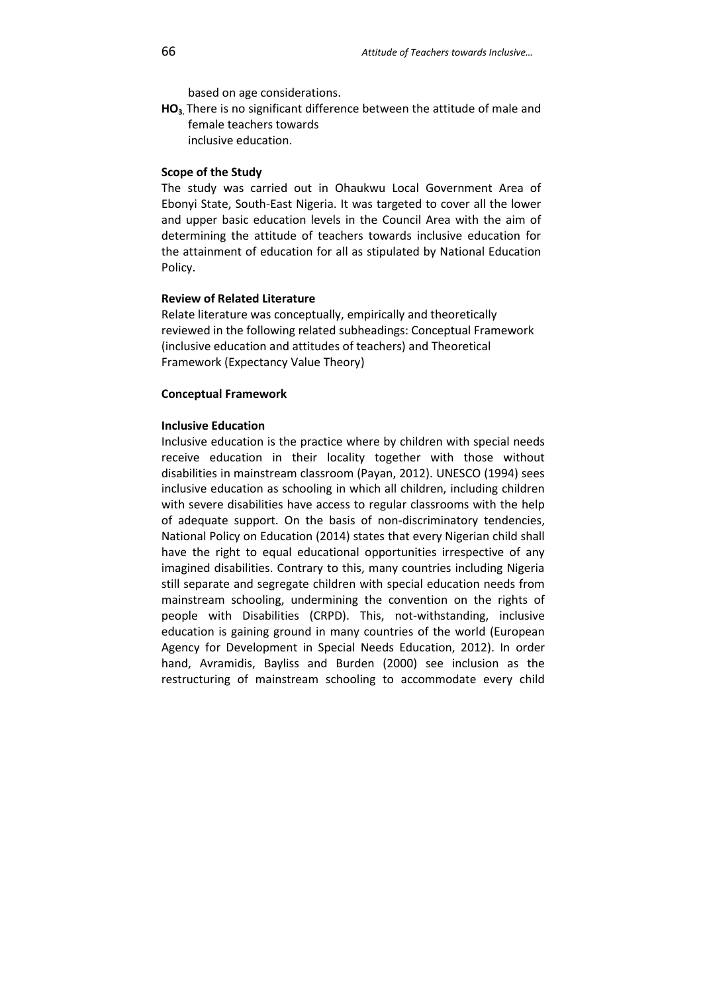based on age considerations.

**HO3.** There is no significant difference between the attitude of male and female teachers towards

inclusive education.

#### **Scope of the Study**

The study was carried out in Ohaukwu Local Government Area of Ebonyi State, South-East Nigeria. It was targeted to cover all the lower and upper basic education levels in the Council Area with the aim of determining the attitude of teachers towards inclusive education for the attainment of education for all as stipulated by National Education Policy.

### **Review of Related Literature**

Relate literature was conceptually, empirically and theoretically reviewed in the following related subheadings: Conceptual Framework (inclusive education and attitudes of teachers) and Theoretical Framework (Expectancy Value Theory)

### **Conceptual Framework**

### **Inclusive Education**

Inclusive education is the practice where by children with special needs receive education in their locality together with those without disabilities in mainstream classroom (Payan, 2012). UNESCO (1994) sees inclusive education as schooling in which all children, including children with severe disabilities have access to regular classrooms with the help of adequate support. On the basis of non-discriminatory tendencies, National Policy on Education (2014) states that every Nigerian child shall have the right to equal educational opportunities irrespective of any imagined disabilities. Contrary to this, many countries including Nigeria still separate and segregate children with special education needs from mainstream schooling, undermining the convention on the rights of people with Disabilities (CRPD). This, not-withstanding, inclusive education is gaining ground in many countries of the world (European Agency for Development in Special Needs Education, 2012). In order hand, Avramidis, Bayliss and Burden (2000) see inclusion as the restructuring of mainstream schooling to accommodate every child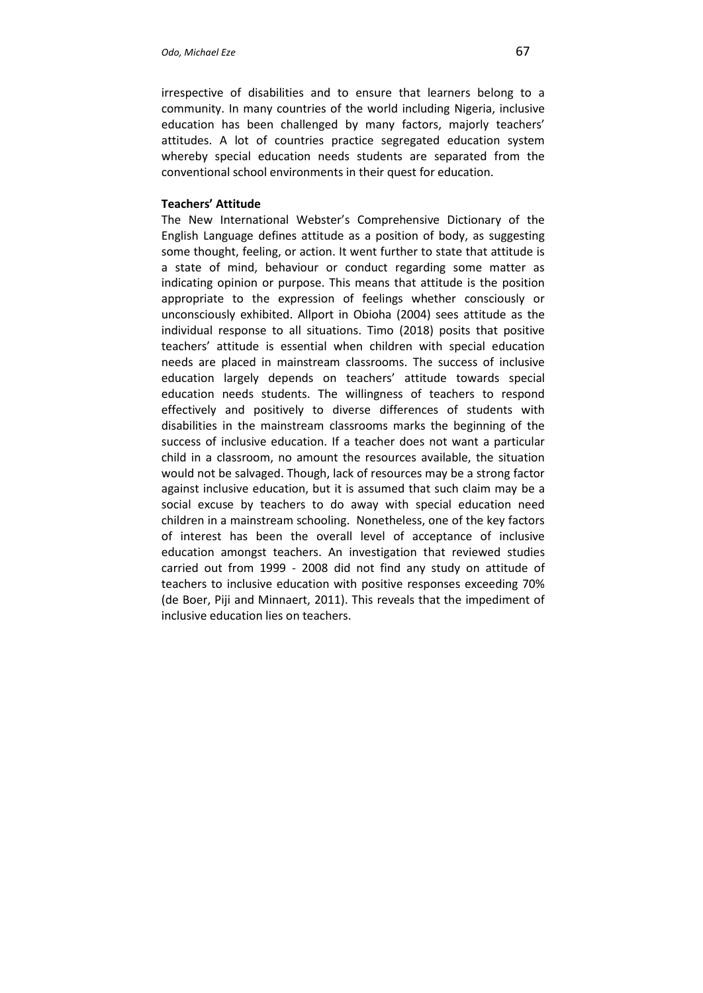irrespective of disabilities and to ensure that learners belong to a community. In many countries of the world including Nigeria, inclusive education has been challenged by many factors, majorly teachers' attitudes. A lot of countries practice segregated education system whereby special education needs students are separated from the conventional school environments in their quest for education.

# **Teachers' Attitude**

The New International Webster's Comprehensive Dictionary of the English Language defines attitude as a position of body, as suggesting some thought, feeling, or action. It went further to state that attitude is a state of mind, behaviour or conduct regarding some matter as indicating opinion or purpose. This means that attitude is the position appropriate to the expression of feelings whether consciously or unconsciously exhibited. Allport in Obioha (2004) sees attitude as the individual response to all situations. Timo (2018) posits that positive teachers' attitude is essential when children with special education needs are placed in mainstream classrooms. The success of inclusive education largely depends on teachers' attitude towards special education needs students. The willingness of teachers to respond effectively and positively to diverse differences of students with disabilities in the mainstream classrooms marks the beginning of the success of inclusive education. If a teacher does not want a particular child in a classroom, no amount the resources available, the situation would not be salvaged. Though, lack of resources may be a strong factor against inclusive education, but it is assumed that such claim may be a social excuse by teachers to do away with special education need children in a mainstream schooling. Nonetheless, one of the key factors of interest has been the overall level of acceptance of inclusive education amongst teachers. An investigation that reviewed studies carried out from 1999 - 2008 did not find any study on attitude of teachers to inclusive education with positive responses exceeding 70% (de Boer, Piji and Minnaert, 2011). This reveals that the impediment of inclusive education lies on teachers.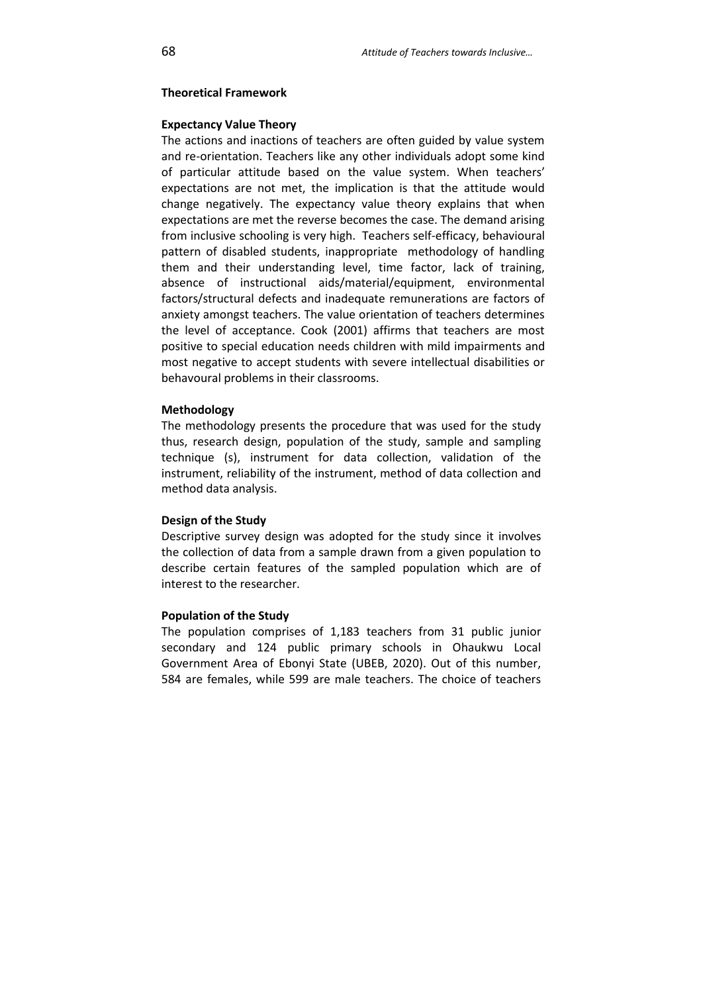#### **Theoretical Framework**

### **Expectancy Value Theory**

The actions and inactions of teachers are often guided by value system and re-orientation. Teachers like any other individuals adopt some kind of particular attitude based on the value system. When teachers' expectations are not met, the implication is that the attitude would change negatively. The expectancy value theory explains that when expectations are met the reverse becomes the case. The demand arising from inclusive schooling is very high. Teachers self-efficacy, behavioural pattern of disabled students, inappropriate methodology of handling them and their understanding level, time factor, lack of training, absence of instructional aids/material/equipment, environmental factors/structural defects and inadequate remunerations are factors of anxiety amongst teachers. The value orientation of teachers determines the level of acceptance. Cook (2001) affirms that teachers are most positive to special education needs children with mild impairments and most negative to accept students with severe intellectual disabilities or behavoural problems in their classrooms.

#### **Methodology**

The methodology presents the procedure that was used for the study thus, research design, population of the study, sample and sampling technique (s), instrument for data collection, validation of the instrument, reliability of the instrument, method of data collection and method data analysis.

#### **Design of the Study**

Descriptive survey design was adopted for the study since it involves the collection of data from a sample drawn from a given population to describe certain features of the sampled population which are of interest to the researcher.

#### **Population of the Study**

The population comprises of 1,183 teachers from 31 public junior secondary and 124 public primary schools in Ohaukwu Local Government Area of Ebonyi State (UBEB, 2020). Out of this number, 584 are females, while 599 are male teachers. The choice of teachers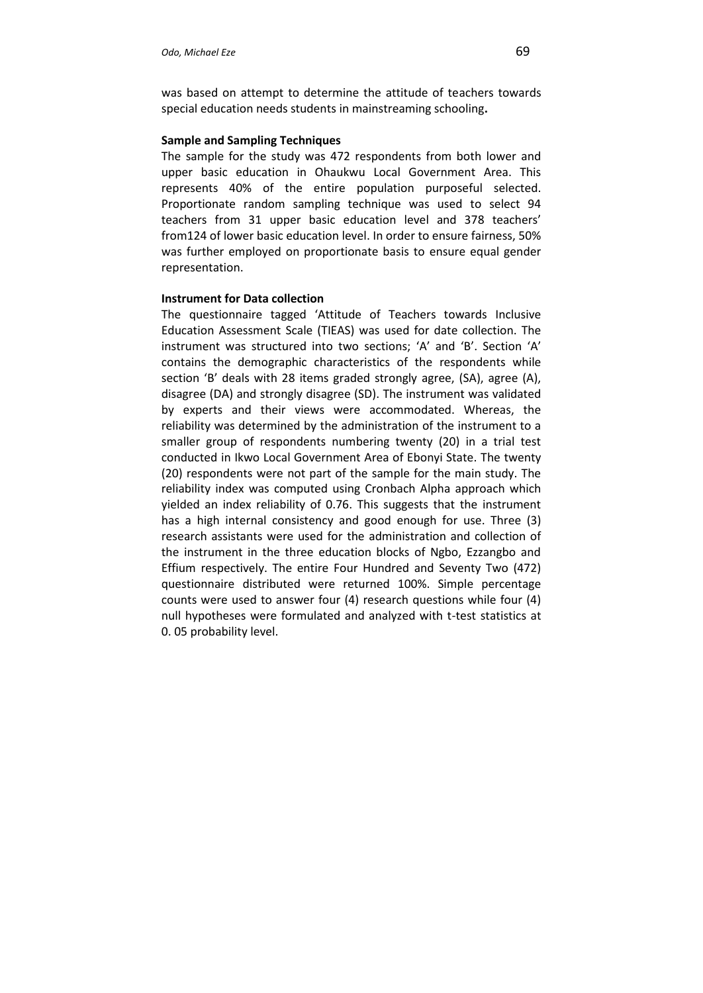was based on attempt to determine the attitude of teachers towards special education needs students in mainstreaming schooling**.**

### **Sample and Sampling Techniques**

The sample for the study was 472 respondents from both lower and upper basic education in Ohaukwu Local Government Area. This represents 40% of the entire population purposeful selected. Proportionate random sampling technique was used to select 94 teachers from 31 upper basic education level and 378 teachers' from124 of lower basic education level. In order to ensure fairness, 50% was further employed on proportionate basis to ensure equal gender representation.

### **Instrument for Data collection**

The questionnaire tagged 'Attitude of Teachers towards Inclusive Education Assessment Scale (TIEAS) was used for date collection. The instrument was structured into two sections; 'A' and 'B'. Section 'A' contains the demographic characteristics of the respondents while section 'B' deals with 28 items graded strongly agree, (SA), agree (A), disagree (DA) and strongly disagree (SD). The instrument was validated by experts and their views were accommodated. Whereas, the reliability was determined by the administration of the instrument to a smaller group of respondents numbering twenty (20) in a trial test conducted in Ikwo Local Government Area of Ebonyi State. The twenty (20) respondents were not part of the sample for the main study. The reliability index was computed using Cronbach Alpha approach which yielded an index reliability of 0.76. This suggests that the instrument has a high internal consistency and good enough for use. Three (3) research assistants were used for the administration and collection of the instrument in the three education blocks of Ngbo, Ezzangbo and Effium respectively. The entire Four Hundred and Seventy Two (472) questionnaire distributed were returned 100%. Simple percentage counts were used to answer four (4) research questions while four (4) null hypotheses were formulated and analyzed with t-test statistics at 0. 05 probability level.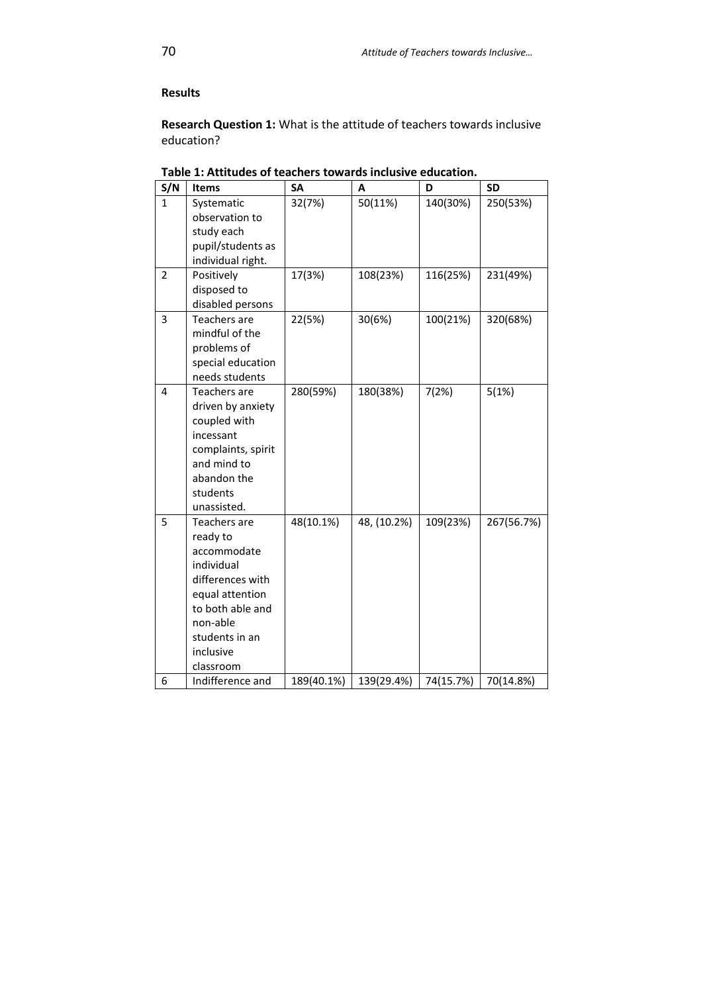# **Results**

**Research Question 1:** What is the attitude of teachers towards inclusive education?

| S/N            | <b>Items</b>                                                                                                                                                             | <b>SA</b>  | A           | D         | <b>SD</b>  |
|----------------|--------------------------------------------------------------------------------------------------------------------------------------------------------------------------|------------|-------------|-----------|------------|
| 1              | Systematic<br>observation to<br>study each<br>pupil/students as<br>individual right.                                                                                     | 32(7%)     | 50(11%)     | 140(30%)  | 250(53%)   |
| $\overline{2}$ | Positively<br>disposed to<br>disabled persons                                                                                                                            | 17(3%)     | 108(23%)    | 116(25%)  | 231(49%)   |
| 3              | Teachers are<br>mindful of the<br>problems of<br>special education<br>needs students                                                                                     | 22(5%)     | 30(6%)      | 100(21%)  | 320(68%)   |
| 4              | Teachers are<br>driven by anxiety<br>coupled with<br>incessant<br>complaints, spirit<br>and mind to<br>abandon the<br>students<br>unassisted.                            | 280(59%)   | 180(38%)    | 7(2%)     | 5(1%)      |
| 5              | Teachers are<br>ready to<br>accommodate<br>individual<br>differences with<br>equal attention<br>to both able and<br>non-able<br>students in an<br>inclusive<br>classroom | 48(10.1%)  | 48, (10.2%) | 109(23%)  | 267(56.7%) |
| 6              | Indifference and                                                                                                                                                         | 189(40.1%) | 139(29.4%)  | 74(15.7%) | 70(14.8%)  |

**Table 1: Attitudes of teachers towards inclusive education.**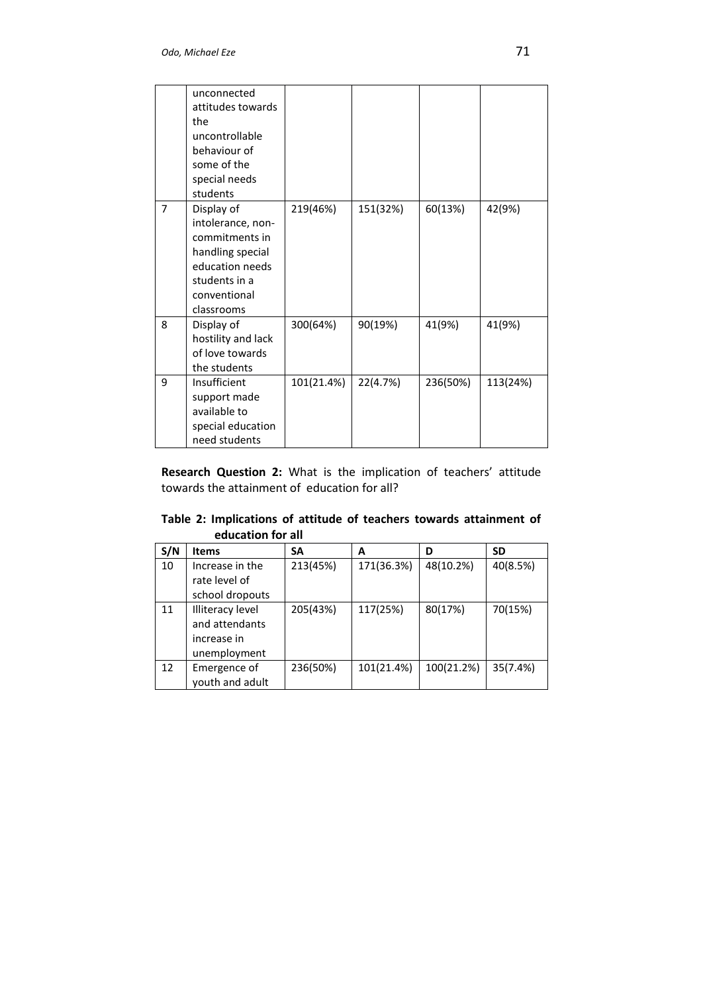|                | unconnected        |            |          |          |          |
|----------------|--------------------|------------|----------|----------|----------|
|                | attitudes towards  |            |          |          |          |
|                | the                |            |          |          |          |
|                | uncontrollable     |            |          |          |          |
|                | behaviour of       |            |          |          |          |
|                | some of the        |            |          |          |          |
|                | special needs      |            |          |          |          |
|                | students           |            |          |          |          |
| $\overline{7}$ | Display of         | 219(46%)   | 151(32%) | 60(13%)  | 42(9%)   |
|                | intolerance, non-  |            |          |          |          |
|                | commitments in     |            |          |          |          |
|                | handling special   |            |          |          |          |
|                | education needs    |            |          |          |          |
|                | students in a      |            |          |          |          |
|                | conventional       |            |          |          |          |
|                | classrooms         |            |          |          |          |
| 8              | Display of         | 300(64%)   | 90(19%)  | 41(9%)   | 41(9%)   |
|                | hostility and lack |            |          |          |          |
|                | of love towards    |            |          |          |          |
|                | the students       |            |          |          |          |
| 9              | Insufficient       | 101(21.4%) | 22(4.7%) | 236(50%) | 113(24%) |
|                | support made       |            |          |          |          |
|                | available to       |            |          |          |          |
|                | special education  |            |          |          |          |
|                | need students      |            |          |          |          |

**Research Question 2:** What is the implication of teachers' attitude towards the attainment of education for all?

**Table 2: Implications of attitude of teachers towards attainment of education for all**

| S/N | <b>Items</b>            | SΑ       | A          | D          | <b>SD</b> |
|-----|-------------------------|----------|------------|------------|-----------|
| 10  | Increase in the         | 213(45%) | 171(36.3%) | 48(10.2%)  | 40(8.5%)  |
|     | rate level of           |          |            |            |           |
|     | school dropouts         |          |            |            |           |
| 11  | <b>Illiteracy level</b> | 205(43%) | 117(25%)   | 80(17%)    | 70(15%)   |
|     | and attendants          |          |            |            |           |
|     | increase in             |          |            |            |           |
|     | unemployment            |          |            |            |           |
| 12  | Emergence of            | 236(50%) | 101(21.4%) | 100(21.2%) | 35(7.4%)  |
|     | youth and adult         |          |            |            |           |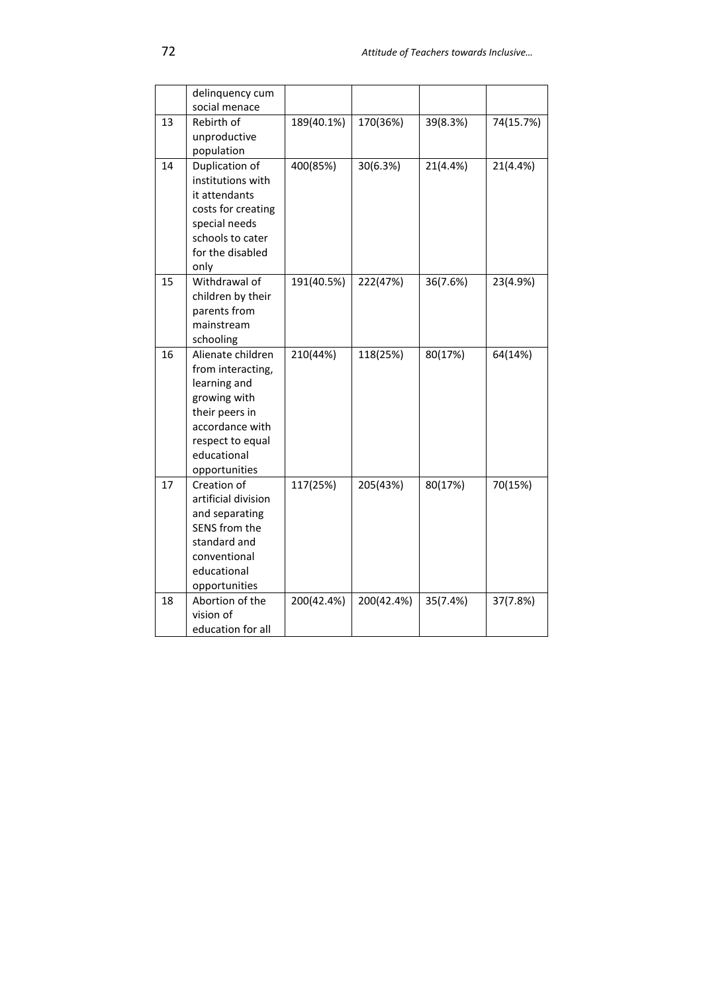|    | delinquency cum<br>social menace                                                                                                                                |            |            |          |           |
|----|-----------------------------------------------------------------------------------------------------------------------------------------------------------------|------------|------------|----------|-----------|
| 13 | Rebirth of<br>unproductive<br>population                                                                                                                        | 189(40.1%) | 170(36%)   | 39(8.3%) | 74(15.7%) |
| 14 | Duplication of<br>institutions with<br>it attendants<br>costs for creating<br>special needs<br>schools to cater<br>for the disabled<br>only                     | 400(85%)   | 30(6.3%)   | 21(4.4%) | 21(4.4%)  |
| 15 | Withdrawal of<br>children by their<br>parents from<br>mainstream<br>schooling                                                                                   | 191(40.5%) | 222(47%)   | 36(7.6%) | 23(4.9%)  |
| 16 | Alienate children<br>from interacting,<br>learning and<br>growing with<br>their peers in<br>accordance with<br>respect to equal<br>educational<br>opportunities | 210(44%)   | 118(25%)   | 80(17%)  | 64(14%)   |
| 17 | Creation of<br>artificial division<br>and separating<br>SENS from the<br>standard and<br>conventional<br>educational<br>opportunities                           | 117(25%)   | 205(43%)   | 80(17%)  | 70(15%)   |
| 18 | Abortion of the<br>vision of<br>education for all                                                                                                               | 200(42.4%) | 200(42.4%) | 35(7.4%) | 37(7.8%)  |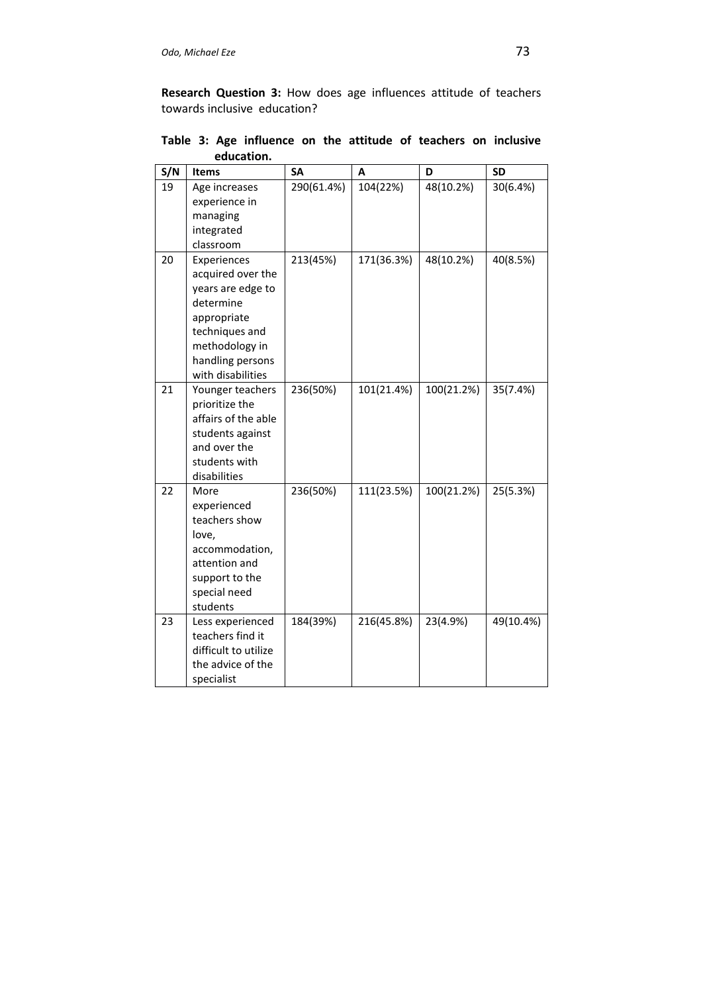**Research Question 3:** How does age influences attitude of teachers towards inclusive education?

| S/N | <b>Items</b>                                                                                                                                                   | <b>SA</b>  | A          | D          | <b>SD</b> |
|-----|----------------------------------------------------------------------------------------------------------------------------------------------------------------|------------|------------|------------|-----------|
| 19  | Age increases<br>experience in                                                                                                                                 | 290(61.4%) | 104(22%)   | 48(10.2%)  | 30(6.4%)  |
|     | managing<br>integrated<br>classroom                                                                                                                            |            |            |            |           |
| 20  | Experiences<br>acquired over the<br>years are edge to<br>determine<br>appropriate<br>techniques and<br>methodology in<br>handling persons<br>with disabilities | 213(45%)   | 171(36.3%) | 48(10.2%)  | 40(8.5%)  |
| 21  | Younger teachers<br>prioritize the<br>affairs of the able<br>students against<br>and over the<br>students with<br>disabilities                                 | 236(50%)   | 101(21.4%) | 100(21.2%) | 35(7.4%)  |
| 22  | More<br>experienced<br>teachers show<br>love,<br>accommodation,<br>attention and<br>support to the<br>special need<br>students                                 | 236(50%)   | 111(23.5%) | 100(21.2%) | 25(5.3%)  |
| 23  | Less experienced<br>teachers find it<br>difficult to utilize<br>the advice of the<br>specialist                                                                | 184(39%)   | 216(45.8%) | 23(4.9%)   | 49(10.4%) |

**Table 3: Age influence on the attitude of teachers on inclusive education.**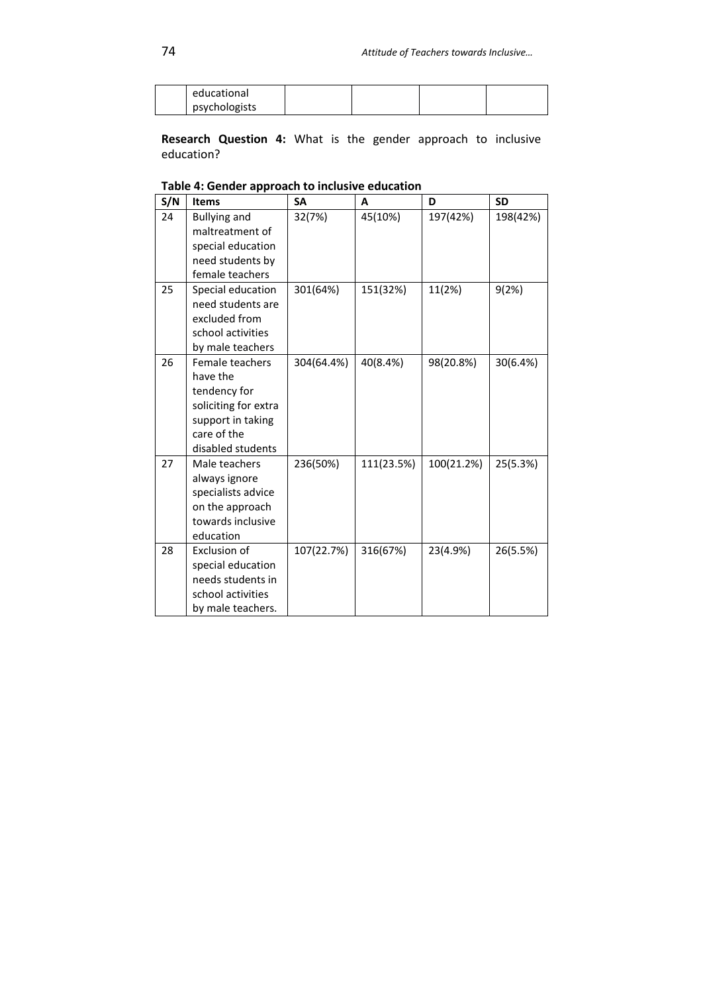| educational   |  |  |
|---------------|--|--|
| psychologists |  |  |

**Research Question 4:** What is the gender approach to inclusive education?

| S/N | <b>Items</b>         | SА         | A          | D          | <b>SD</b> |
|-----|----------------------|------------|------------|------------|-----------|
| 24  | <b>Bullying and</b>  | 32(7%)     | 45(10%)    | 197(42%)   | 198(42%)  |
|     | maltreatment of      |            |            |            |           |
|     | special education    |            |            |            |           |
|     | need students by     |            |            |            |           |
|     | female teachers      |            |            |            |           |
| 25  | Special education    | 301(64%)   | 151(32%)   | 11(2%)     | 9(2%)     |
|     | need students are    |            |            |            |           |
|     | excluded from        |            |            |            |           |
|     | school activities    |            |            |            |           |
|     | by male teachers     |            |            |            |           |
| 26  | Female teachers      | 304(64.4%) | 40(8.4%)   | 98(20.8%)  | 30(6.4%)  |
|     | have the             |            |            |            |           |
|     | tendency for         |            |            |            |           |
|     | soliciting for extra |            |            |            |           |
|     | support in taking    |            |            |            |           |
|     | care of the          |            |            |            |           |
|     | disabled students    |            |            |            |           |
| 27  | Male teachers        | 236(50%)   | 111(23.5%) | 100(21.2%) | 25(5.3%)  |
|     | always ignore        |            |            |            |           |
|     | specialists advice   |            |            |            |           |
|     | on the approach      |            |            |            |           |
|     | towards inclusive    |            |            |            |           |
|     | education            |            |            |            |           |
| 28  | Exclusion of         | 107(22.7%) | 316(67%)   | 23(4.9%)   | 26(5.5%)  |
|     | special education    |            |            |            |           |
|     | needs students in    |            |            |            |           |
|     | school activities    |            |            |            |           |
|     | by male teachers.    |            |            |            |           |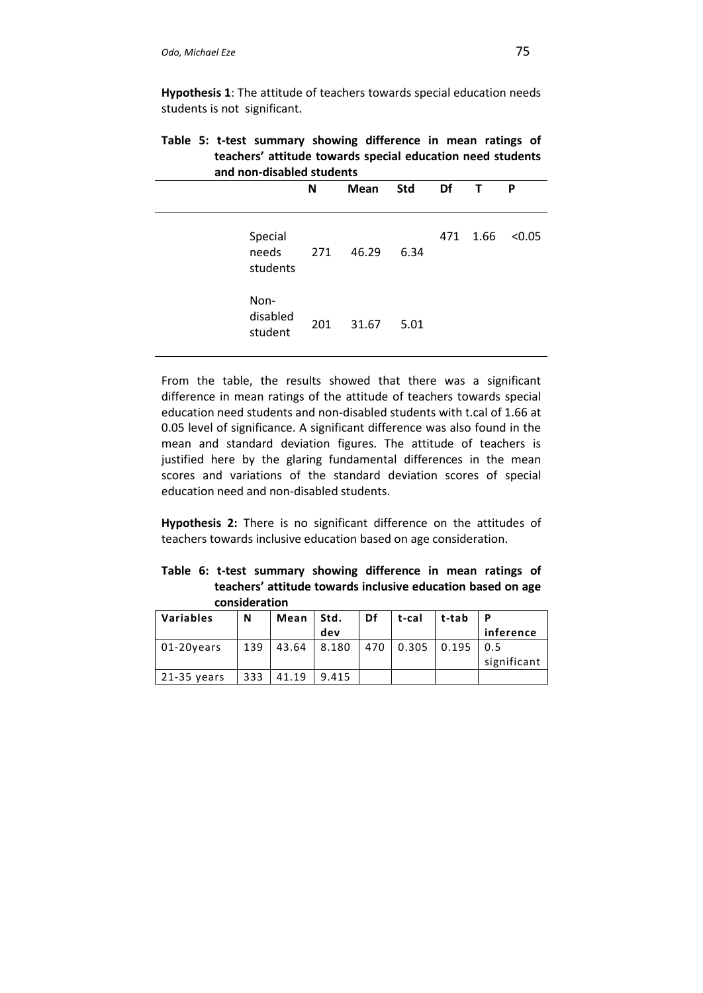**Hypothesis 1**: The attitude of teachers towards special education needs students is not significant.

**Table 5: t-test summary showing difference in mean ratings of teachers' attitude towards special education need students and non-disabled students**

|                              | N   | Mean  | <b>Std</b> | Df  | $\mathsf{T}$ | P      |
|------------------------------|-----|-------|------------|-----|--------------|--------|
| Special<br>needs<br>students | 271 | 46.29 | 6.34       | 471 | 1.66         | < 0.05 |
| Non-<br>disabled<br>student  | 201 | 31.67 | 5.01       |     |              |        |

From the table, the results showed that there was a significant difference in mean ratings of the attitude of teachers towards special education need students and non-disabled students with t.cal of 1.66 at 0.05 level of significance. A significant difference was also found in the mean and standard deviation figures. The attitude of teachers is justified here by the glaring fundamental differences in the mean scores and variations of the standard deviation scores of special education need and non-disabled students.

**Hypothesis 2:** There is no significant difference on the attitudes of teachers towards inclusive education based on age consideration.

**Table 6: t-test summary showing difference in mean ratings of teachers' attitude towards inclusive education based on age consideration**

| <b>Variables</b> | N   | Mean  | Std.  | Df  | t-cal | t-tab | P           |
|------------------|-----|-------|-------|-----|-------|-------|-------------|
|                  |     |       | dev   |     |       |       | inference   |
| $01-20$ vears    | 139 | 43.64 | 8.180 | 470 | 0.305 | 0.195 | 0.5         |
|                  |     |       |       |     |       |       | significant |
| $21-35$ years    | 333 | 41.19 | 9.415 |     |       |       |             |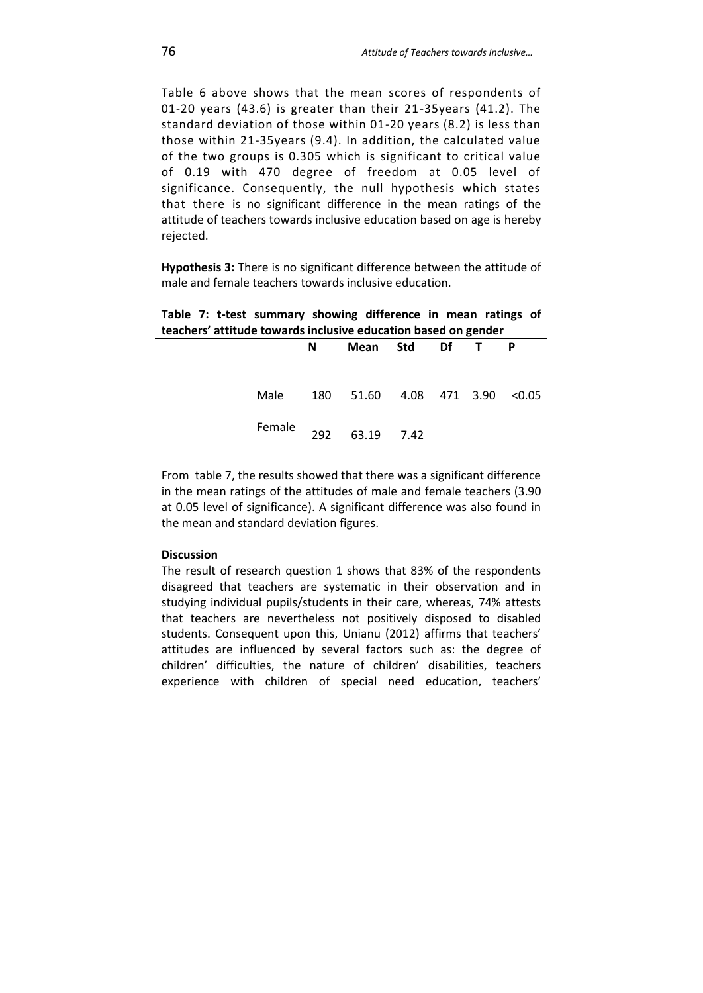Table 6 above shows that the mean scores of respondents of 01-20 years (43.6) is greater than their 21-35years (41.2). The standard deviation of those within 01-20 years (8.2) is less than those within 21-35years (9.4). In addition, the calculated value of the two groups is 0.305 which is significant to critical value of 0.19 with 470 degree of freedom at 0.05 level of significance. Consequently, the null hypothesis which states that there is no significant difference in the mean ratings of the attitude of teachers towards inclusive education based on age is hereby rejected.

**Hypothesis 3:** There is no significant difference between the attitude of male and female teachers towards inclusive education.

| teachers' attitude towards inclusive education based on gender |     |                     |  |    |  |        |  |  |
|----------------------------------------------------------------|-----|---------------------|--|----|--|--------|--|--|
|                                                                | N   | Mean Std            |  | Df |  |        |  |  |
| Male                                                           | 180 | 51.60 4.08 471 3.90 |  |    |  | < 0.05 |  |  |
| Female                                                         | 292 | 63.19 7.42          |  |    |  |        |  |  |

**Table 7: t-test summary showing difference in mean ratings of teachers' attitude towards inclusive education based on gender**

From table 7, the results showed that there was a significant difference in the mean ratings of the attitudes of male and female teachers (3.90 at 0.05 level of significance). A significant difference was also found in the mean and standard deviation figures.

### **Discussion**

The result of research question 1 shows that 83% of the respondents disagreed that teachers are systematic in their observation and in studying individual pupils/students in their care, whereas, 74% attests that teachers are nevertheless not positively disposed to disabled students. Consequent upon this, Unianu (2012) affirms that teachers' attitudes are influenced by several factors such as: the degree of children' difficulties, the nature of children' disabilities, teachers experience with children of special need education, teachers'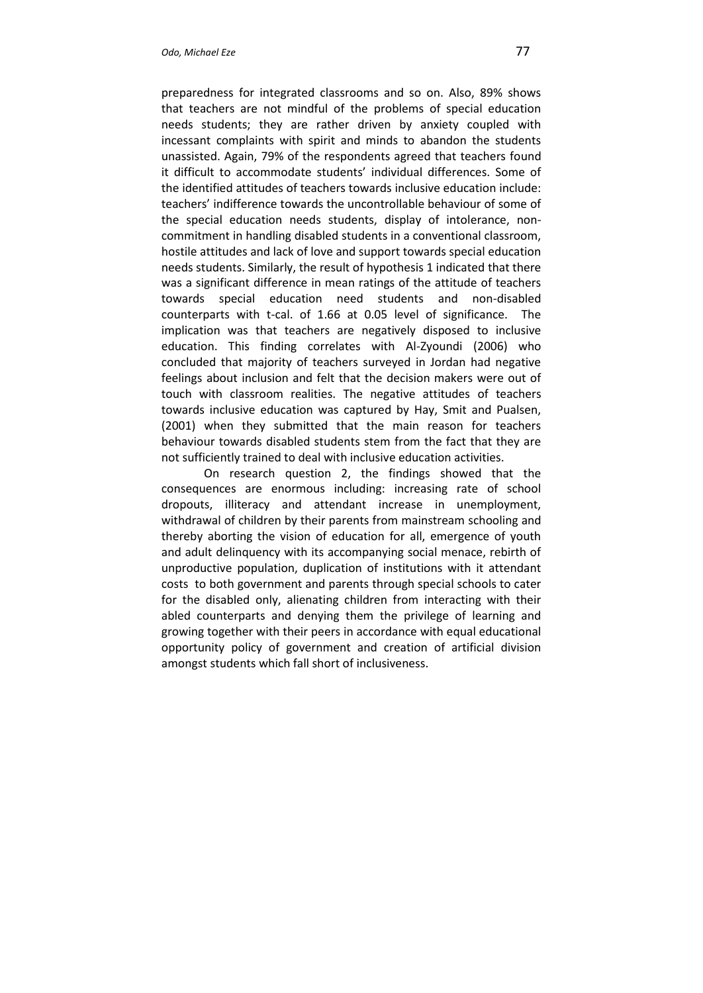preparedness for integrated classrooms and so on. Also, 89% shows that teachers are not mindful of the problems of special education needs students; they are rather driven by anxiety coupled with incessant complaints with spirit and minds to abandon the students unassisted. Again, 79% of the respondents agreed that teachers found it difficult to accommodate students' individual differences. Some of the identified attitudes of teachers towards inclusive education include: teachers' indifference towards the uncontrollable behaviour of some of the special education needs students, display of intolerance, noncommitment in handling disabled students in a conventional classroom, hostile attitudes and lack of love and support towards special education needs students. Similarly, the result of hypothesis 1 indicated that there was a significant difference in mean ratings of the attitude of teachers towards special education need students and non-disabled counterparts with t-cal. of 1.66 at 0.05 level of significance. The implication was that teachers are negatively disposed to inclusive education. This finding correlates with Al-Zyoundi (2006) who concluded that majority of teachers surveyed in Jordan had negative feelings about inclusion and felt that the decision makers were out of touch with classroom realities. The negative attitudes of teachers towards inclusive education was captured by Hay, Smit and Pualsen, (2001) when they submitted that the main reason for teachers behaviour towards disabled students stem from the fact that they are not sufficiently trained to deal with inclusive education activities.

On research question 2, the findings showed that the consequences are enormous including: increasing rate of school dropouts, illiteracy and attendant increase in unemployment, withdrawal of children by their parents from mainstream schooling and thereby aborting the vision of education for all, emergence of youth and adult delinquency with its accompanying social menace, rebirth of unproductive population, duplication of institutions with it attendant costs to both government and parents through special schools to cater for the disabled only, alienating children from interacting with their abled counterparts and denying them the privilege of learning and growing together with their peers in accordance with equal educational opportunity policy of government and creation of artificial division amongst students which fall short of inclusiveness.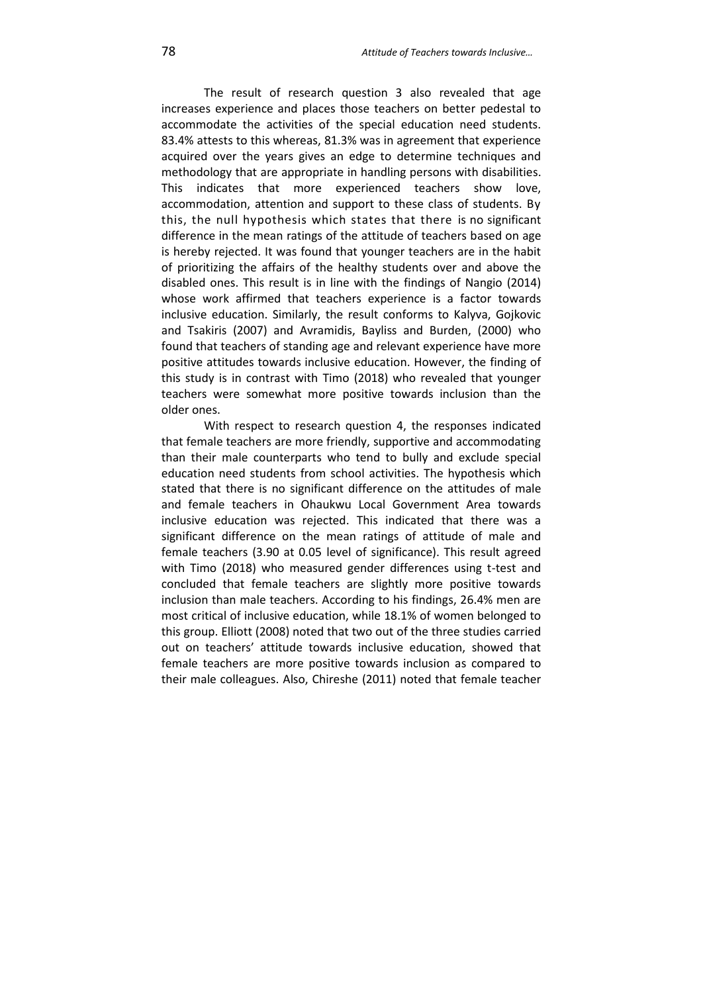The result of research question 3 also revealed that age increases experience and places those teachers on better pedestal to accommodate the activities of the special education need students. 83.4% attests to this whereas, 81.3% was in agreement that experience acquired over the years gives an edge to determine techniques and methodology that are appropriate in handling persons with disabilities. This indicates that more experienced teachers show love, accommodation, attention and support to these class of students. By this, the null hypothesis which states that there is no significant difference in the mean ratings of the attitude of teachers based on age is hereby rejected. It was found that younger teachers are in the habit of prioritizing the affairs of the healthy students over and above the disabled ones. This result is in line with the findings of Nangio (2014) whose work affirmed that teachers experience is a factor towards inclusive education. Similarly, the result conforms to Kalyva, Gojkovic and Tsakiris (2007) and Avramidis, Bayliss and Burden, (2000) who found that teachers of standing age and relevant experience have more positive attitudes towards inclusive education. However, the finding of this study is in contrast with Timo (2018) who revealed that younger teachers were somewhat more positive towards inclusion than the older ones.

With respect to research question 4, the responses indicated that female teachers are more friendly, supportive and accommodating than their male counterparts who tend to bully and exclude special education need students from school activities. The hypothesis which stated that there is no significant difference on the attitudes of male and female teachers in Ohaukwu Local Government Area towards inclusive education was rejected. This indicated that there was a significant difference on the mean ratings of attitude of male and female teachers (3.90 at 0.05 level of significance). This result agreed with Timo (2018) who measured gender differences using t-test and concluded that female teachers are slightly more positive towards inclusion than male teachers. According to his findings, 26.4% men are most critical of inclusive education, while 18.1% of women belonged to this group. Elliott (2008) noted that two out of the three studies carried out on teachers' attitude towards inclusive education, showed that female teachers are more positive towards inclusion as compared to their male colleagues. Also, Chireshe (2011) noted that female teacher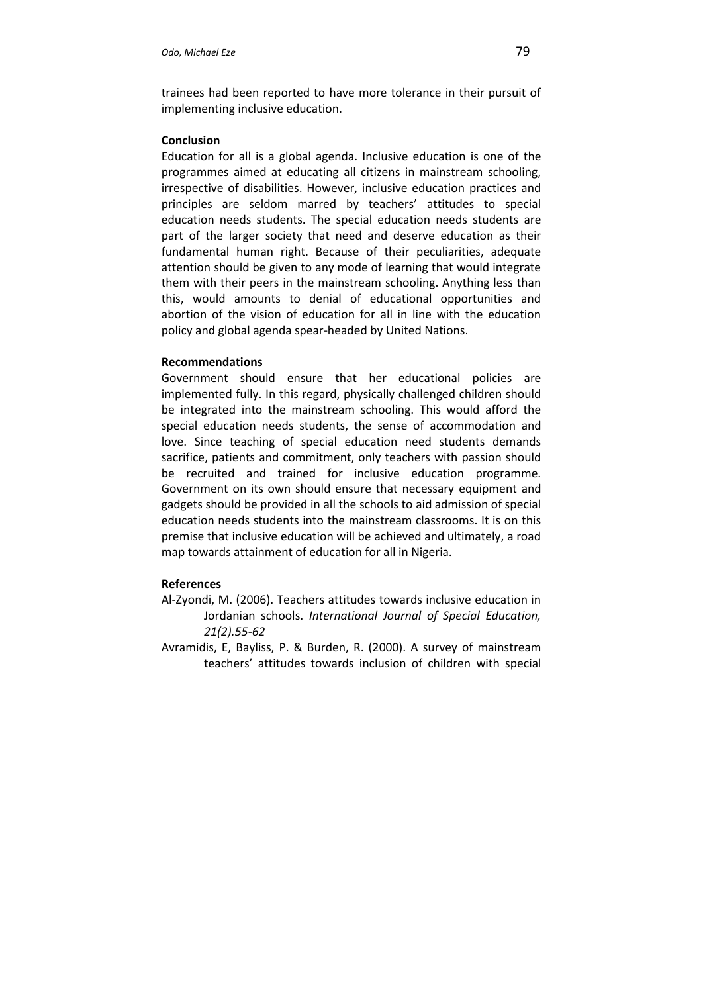trainees had been reported to have more tolerance in their pursuit of implementing inclusive education.

### **Conclusion**

Education for all is a global agenda. Inclusive education is one of the programmes aimed at educating all citizens in mainstream schooling, irrespective of disabilities. However, inclusive education practices and principles are seldom marred by teachers' attitudes to special education needs students. The special education needs students are part of the larger society that need and deserve education as their fundamental human right. Because of their peculiarities, adequate attention should be given to any mode of learning that would integrate them with their peers in the mainstream schooling. Anything less than this, would amounts to denial of educational opportunities and abortion of the vision of education for all in line with the education policy and global agenda spear-headed by United Nations.

### **Recommendations**

Government should ensure that her educational policies are implemented fully. In this regard, physically challenged children should be integrated into the mainstream schooling. This would afford the special education needs students, the sense of accommodation and love. Since teaching of special education need students demands sacrifice, patients and commitment, only teachers with passion should be recruited and trained for inclusive education programme. Government on its own should ensure that necessary equipment and gadgets should be provided in all the schools to aid admission of special education needs students into the mainstream classrooms. It is on this premise that inclusive education will be achieved and ultimately, a road map towards attainment of education for all in Nigeria.

### **References**

- Al-Zyondi, M. (2006). Teachers attitudes towards inclusive education in Jordanian schools. *International Journal of Special Education, 21(2).55-62*
- Avramidis, E, Bayliss, P. & Burden, R. (2000). A survey of mainstream teachers' attitudes towards inclusion of children with special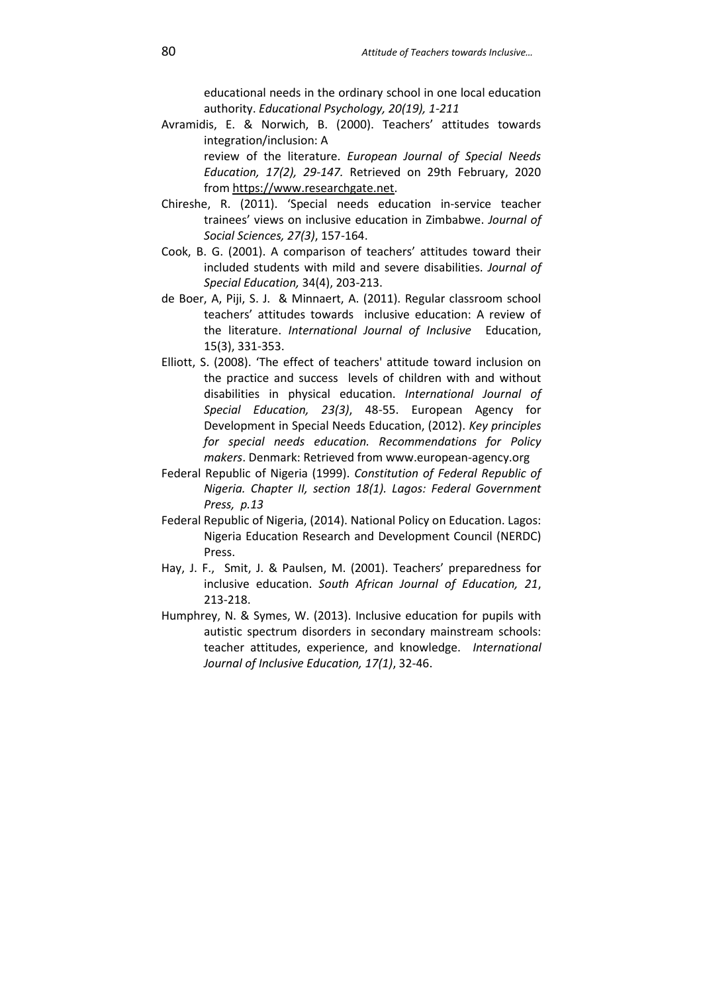educational needs in the ordinary school in one local education authority. *Educational Psychology, 20(19), 1-211*

Avramidis, E. & Norwich, B. (2000). Teachers' attitudes towards integration/inclusion: A

review of the literature. *European Journal of Special Needs Education, 17(2), 29-147.* Retrieved on 29th February, 2020 from https://www.researchgate.net.

- Chireshe, R. (2011). 'Special needs education in-service teacher trainees' views on inclusive education in Zimbabwe. *Journal of Social Sciences, 27(3)*, 157-164.
- Cook, B. G. (2001). A comparison of teachers' attitudes toward their included students with mild and severe disabilities. *Journal of Special Education,* 34(4), 203-213.
- de Boer, A, Piji, S. J. & Minnaert, A. (2011). Regular classroom school teachers' attitudes towards inclusive education: A review of the literature. *International Journal of Inclusive* Education, 15(3), 331-353.
- Elliott, S. (2008). 'The effect of teachers' attitude toward inclusion on the practice and success levels of children with and without disabilities in physical education. *International Journal of Special Education, 23(3)*, 48-55. European Agency for Development in Special Needs Education, (2012). *Key principles for special needs education. Recommendations for Policy makers*. Denmark: Retrieved from www.european-agency.org
- Federal Republic of Nigeria (1999). *Constitution of Federal Republic of Nigeria. Chapter II, section 18(1). Lagos: Federal Government Press, p.13*
- Federal Republic of Nigeria, (2014). National Policy on Education. Lagos: Nigeria Education Research and Development Council (NERDC) Press.
- Hay, J. F., Smit, J. & Paulsen, M. (2001). Teachers' preparedness for inclusive education. *South African Journal of Education, 21*, 213-218.
- Humphrey, N. & Symes, W. (2013). Inclusive education for pupils with autistic spectrum disorders in secondary mainstream schools: teacher attitudes, experience, and knowledge. *International Journal of Inclusive Education, 17(1)*, 32-46.